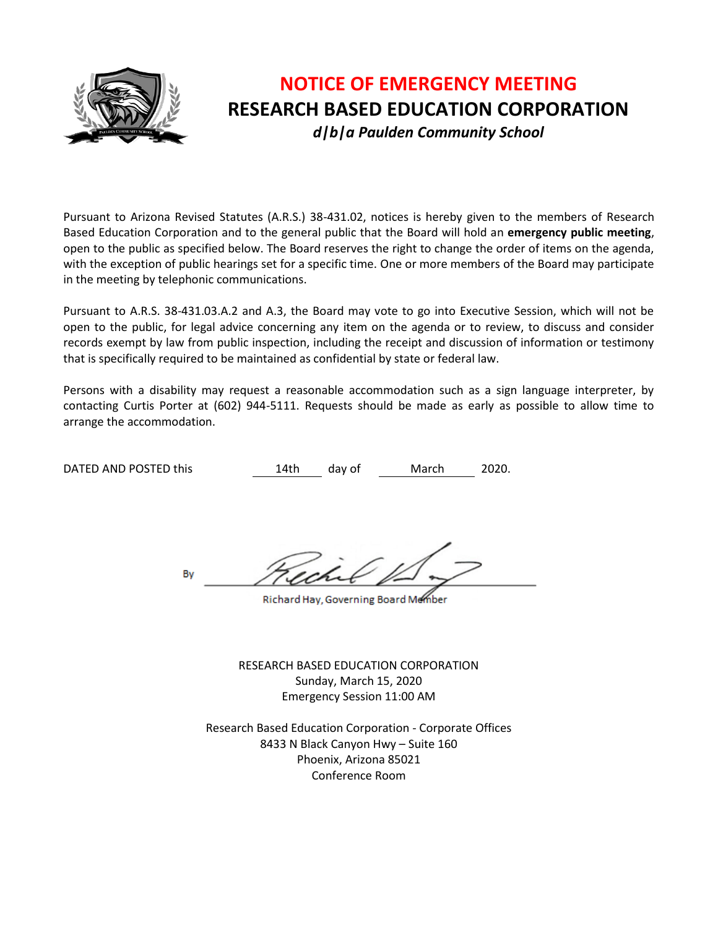

# **NOTICE OF EMERGENCY MEETING RESEARCH BASED EDUCATION CORPORATION** *d|b|a Paulden Community School*

Pursuant to Arizona Revised Statutes (A.R.S.) 38-431.02, notices is hereby given to the members of Research Based Education Corporation and to the general public that the Board will hold an **emergency public meeting**, open to the public as specified below. The Board reserves the right to change the order of items on the agenda, with the exception of public hearings set for a specific time. One or more members of the Board may participate in the meeting by telephonic communications.

Pursuant to A.R.S. 38-431.03.A.2 and A.3, the Board may vote to go into Executive Session, which will not be open to the public, for legal advice concerning any item on the agenda or to review, to discuss and consider records exempt by law from public inspection, including the receipt and discussion of information or testimony that is specifically required to be maintained as confidential by state or federal law.

Persons with a disability may request a reasonable accommodation such as a sign language interpreter, by contacting Curtis Porter at (602) 944-5111. Requests should be made as early as possible to allow time to arrange the accommodation.

DATED AND POSTED this 14th day of March 2020.

By

Richard Hay, Governing Board Member

RESEARCH BASED EDUCATION CORPORATION Sunday, March 15, 2020 Emergency Session 11:00 AM

Research Based Education Corporation - Corporate Offices 8433 N Black Canyon Hwy – Suite 160 Phoenix, Arizona 85021 Conference Room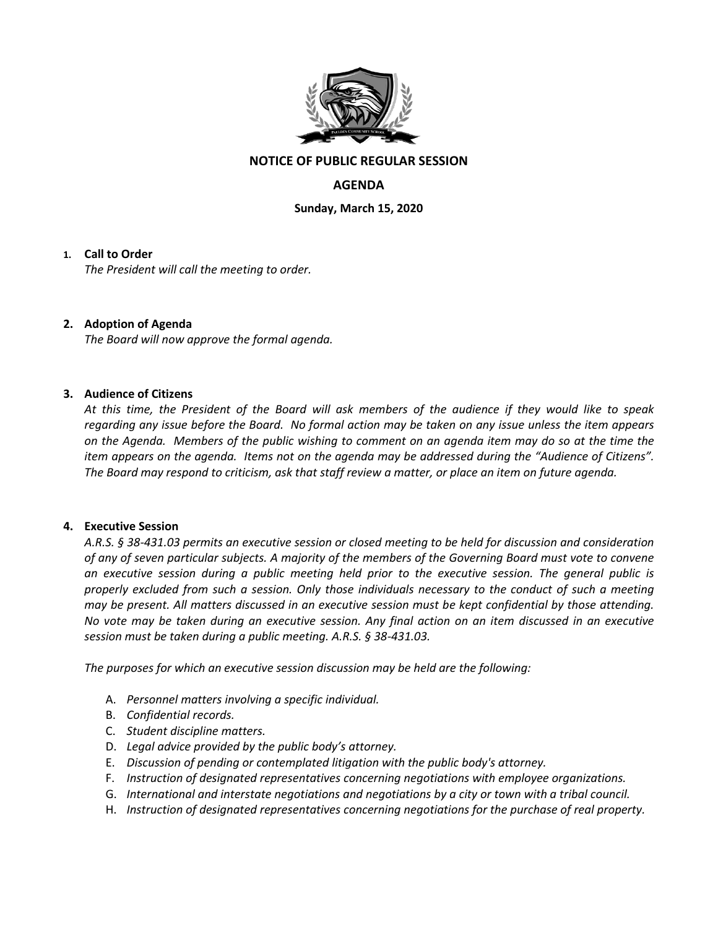

### **NOTICE OF PUBLIC REGULAR SESSION**

## **AGENDA**

**Sunday, March 15, 2020**

#### **1. Call to Order**

*The President will call the meeting to order.*

#### **2. Adoption of Agenda**

*The Board will now approve the formal agenda.*

#### **3. Audience of Citizens**

*At this time, the President of the Board will ask members of the audience if they would like to speak regarding any issue before the Board. No formal action may be taken on any issue unless the item appears on the Agenda. Members of the public wishing to comment on an agenda item may do so at the time the item appears on the agenda. Items not on the agenda may be addressed during the "Audience of Citizens". The Board may respond to criticism, ask that staff review a matter, or place an item on future agenda.*

#### **4. Executive Session**

*A.R.S. § 38-431.03 permits an executive session or closed meeting to be held for discussion and consideration of any of seven particular subjects. A majority of the members of the Governing Board must vote to convene an executive session during a public meeting held prior to the executive session. The general public is properly excluded from such a session. Only those individuals necessary to the conduct of such a meeting may be present. All matters discussed in an executive session must be kept confidential by those attending. No vote may be taken during an executive session. Any final action on an item discussed in an executive session must be taken during a public meeting. A.R.S. § 38-431.03.* 

*The purposes for which an executive session discussion may be held are the following:* 

- A. *Personnel matters involving a specific individual.*
- B. *Confidential records.*
- C. *Student discipline matters.*
- D. *Legal advice provided by the public body's attorney.*
- E. *Discussion of pending or contemplated litigation with the public body's attorney.*
- F. *Instruction of designated representatives concerning negotiations with employee organizations.*
- G. *International and interstate negotiations and negotiations by a city or town with a tribal council.*
- H. *Instruction of designated representatives concerning negotiations for the purchase of real property.*